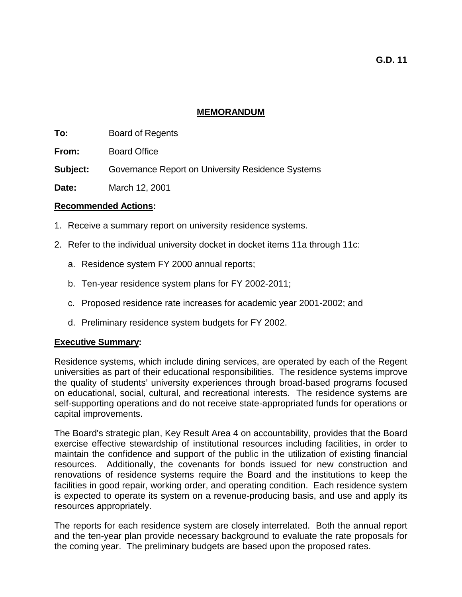## **MEMORANDUM**

- **To:** Board of Regents
- **From:** Board Office
- **Subject:** Governance Report on University Residence Systems
- **Date:** March 12, 2001

# **Recommended Actions:**

- 1. Receive a summary report on university residence systems.
- 2. Refer to the individual university docket in docket items 11a through 11c:
	- a. Residence system FY 2000 annual reports;
	- b. Ten-year residence system plans for FY 2002-2011;
	- c. Proposed residence rate increases for academic year 2001-2002; and
	- d. Preliminary residence system budgets for FY 2002.

# **Executive Summary:**

Residence systems, which include dining services, are operated by each of the Regent universities as part of their educational responsibilities. The residence systems improve the quality of students' university experiences through broad-based programs focused on educational, social, cultural, and recreational interests. The residence systems are self-supporting operations and do not receive state-appropriated funds for operations or capital improvements.

The Board's strategic plan, Key Result Area 4 on accountability, provides that the Board exercise effective stewardship of institutional resources including facilities, in order to maintain the confidence and support of the public in the utilization of existing financial resources. Additionally, the covenants for bonds issued for new construction and renovations of residence systems require the Board and the institutions to keep the facilities in good repair, working order, and operating condition. Each residence system is expected to operate its system on a revenue-producing basis, and use and apply its resources appropriately.

The reports for each residence system are closely interrelated. Both the annual report and the ten-year plan provide necessary background to evaluate the rate proposals for the coming year. The preliminary budgets are based upon the proposed rates.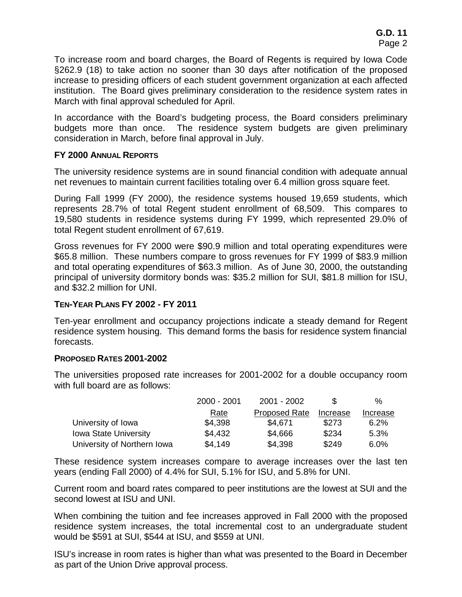To increase room and board charges, the Board of Regents is required by Iowa Code §262.9 (18) to take action no sooner than 30 days after notification of the proposed increase to presiding officers of each student government organization at each affected institution. The Board gives preliminary consideration to the residence system rates in March with final approval scheduled for April.

In accordance with the Board's budgeting process, the Board considers preliminary budgets more than once. The residence system budgets are given preliminary consideration in March, before final approval in July.

# **FY 2000 ANNUAL REPORTS**

The university residence systems are in sound financial condition with adequate annual net revenues to maintain current facilities totaling over 6.4 million gross square feet.

During Fall 1999 (FY 2000), the residence systems housed 19,659 students, which represents 28.7% of total Regent student enrollment of 68,509. This compares to 19,580 students in residence systems during FY 1999, which represented 29.0% of total Regent student enrollment of 67,619.

Gross revenues for FY 2000 were \$90.9 million and total operating expenditures were \$65.8 million. These numbers compare to gross revenues for FY 1999 of \$83.9 million and total operating expenditures of \$63.3 million. As of June 30, 2000, the outstanding principal of university dormitory bonds was: \$35.2 million for SUI, \$81.8 million for ISU, and \$32.2 million for UNI.

# **TEN-YEAR PLANS FY 2002 - FY 2011**

Ten-year enrollment and occupancy projections indicate a steady demand for Regent residence system housing. This demand forms the basis for residence system financial forecasts.

# **PROPOSED RATES 2001-2002**

The universities proposed rate increases for 2001-2002 for a double occupancy room with full board are as follows:

|                              | 2000 - 2001 | 2001 - 2002          |          | $\%$     |
|------------------------------|-------------|----------------------|----------|----------|
|                              | <u>Rate</u> | <b>Proposed Rate</b> | Increase | Increase |
| University of Iowa           | \$4,398     | \$4.671              | \$273    | 6.2%     |
| <b>Iowa State University</b> | \$4,432     | \$4,666              | \$234    | 5.3%     |
| University of Northern Iowa  | \$4,149     | \$4,398              | \$249    | 6.0%     |

These residence system increases compare to average increases over the last ten years (ending Fall 2000) of 4.4% for SUI, 5.1% for ISU, and 5.8% for UNI.

Current room and board rates compared to peer institutions are the lowest at SUI and the second lowest at ISU and UNI.

When combining the tuition and fee increases approved in Fall 2000 with the proposed residence system increases, the total incremental cost to an undergraduate student would be \$591 at SUI, \$544 at ISU, and \$559 at UNI.

ISU's increase in room rates is higher than what was presented to the Board in December as part of the Union Drive approval process.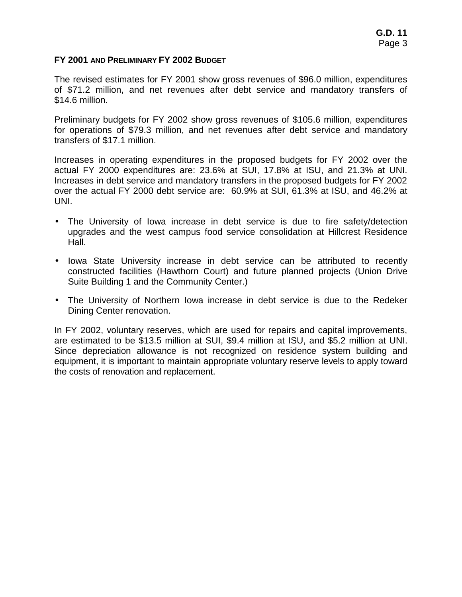### **FY 2001 AND PRELIMINARY FY 2002 BUDGET**

The revised estimates for FY 2001 show gross revenues of \$96.0 million, expenditures of \$71.2 million, and net revenues after debt service and mandatory transfers of \$14.6 million.

Preliminary budgets for FY 2002 show gross revenues of \$105.6 million, expenditures for operations of \$79.3 million, and net revenues after debt service and mandatory transfers of \$17.1 million.

Increases in operating expenditures in the proposed budgets for FY 2002 over the actual FY 2000 expenditures are: 23.6% at SUI, 17.8% at ISU, and 21.3% at UNI. Increases in debt service and mandatory transfers in the proposed budgets for FY 2002 over the actual FY 2000 debt service are: 60.9% at SUI, 61.3% at ISU, and 46.2% at UNI.

- The University of Iowa increase in debt service is due to fire safety/detection upgrades and the west campus food service consolidation at Hillcrest Residence Hall.
- Iowa State University increase in debt service can be attributed to recently constructed facilities (Hawthorn Court) and future planned projects (Union Drive Suite Building 1 and the Community Center.)
- The University of Northern Iowa increase in debt service is due to the Redeker Dining Center renovation.

In FY 2002, voluntary reserves, which are used for repairs and capital improvements, are estimated to be \$13.5 million at SUI, \$9.4 million at ISU, and \$5.2 million at UNI. Since depreciation allowance is not recognized on residence system building and equipment, it is important to maintain appropriate voluntary reserve levels to apply toward the costs of renovation and replacement.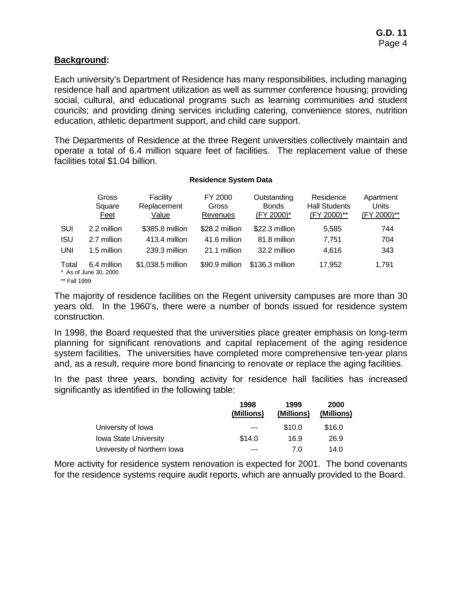## **Background:**

Each university's Department of Residence has many responsibilities, including managing residence hall and apartment utilization as well as summer conference housing; providing social, cultural, and educational programs such as learning communities and student councils; and providing dining services including catering, convenience stores, nutrition education, athletic department support, and child care support.

The Departments of Residence at the three Regent universities collectively maintain and operate a total of 6.4 million square feet of facilities. The replacement value of these facilities total \$1.04 billion.

#### **Residence System Data**

|                       | Gross<br>Square<br>Feet              | Facility<br>Replacement<br>Value | FY 2000<br>Gross<br>Revenues | Outstanding<br><b>Bonds</b><br>(FY 2000)* | Residence<br><b>Hall Students</b><br>(FY 2000)** | Apartment<br>Units<br>(FY 2000)** |
|-----------------------|--------------------------------------|----------------------------------|------------------------------|-------------------------------------------|--------------------------------------------------|-----------------------------------|
| SUI                   | 2.2 million                          | \$385.8 million                  | \$28.2 million               | \$22.3 million                            | 5,585                                            | 744                               |
| <b>ISU</b>            | 2.7 million                          | 413.4 million                    | 41.6 million                 | 81.8 million                              | 7.751                                            | 704                               |
| <b>UNI</b>            | 1.5 million                          | 239.3 million                    | 21.1 million                 | 32.2 million                              | 4,616                                            | 343                               |
| Total<br>** Fall 1999 | 6.4 million<br>* As of June 30, 2000 | \$1,038.5 million                | \$90.9 million               | \$136.3 million                           | 17,952                                           | 1,791                             |

The majority of residence facilities on the Regent university campuses are more than 30 years old. In the 1960's, there were a number of bonds issued for residence system construction.

In 1998, the Board requested that the universities place greater emphasis on long-term planning for significant renovations and capital replacement of the aging residence system facilities. The universities have completed more comprehensive ten-year plans and, as a result, require more bond financing to renovate or replace the aging facilities.

In the past three years, bonding activity for residence hall facilities has increased significantly as identified in the following table:

|                              | 1998<br>(Millions) | 1999<br>(Millions) | 2000<br>(Millions) |
|------------------------------|--------------------|--------------------|--------------------|
| University of Iowa           | ---                | \$10.0             | \$16.0             |
| <b>Iowa State University</b> | \$14.0             | 16.9               | 26.9               |
| University of Northern Iowa  | ---                | 7.0                | 14.0               |

More activity for residence system renovation is expected for 2001. The bond covenants for the residence systems require audit reports, which are annually provided to the Board.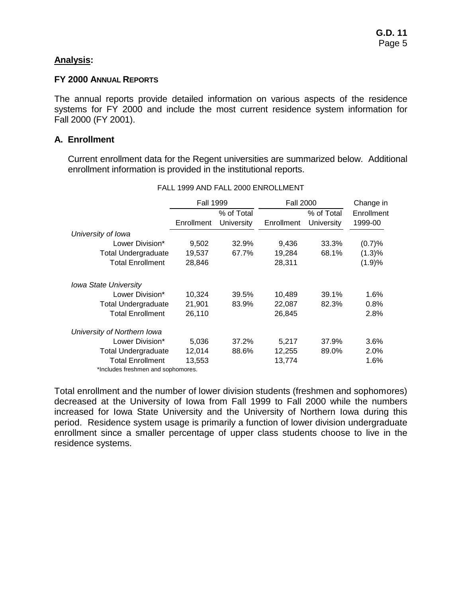## **Analysis:**

#### **FY 2000 ANNUAL REPORTS**

The annual reports provide detailed information on various aspects of the residence systems for FY 2000 and include the most current residence system information for Fall 2000 (FY 2001).

## **A. Enrollment**

Current enrollment data for the Regent universities are summarized below. Additional enrollment information is provided in the institutional reports.

|                                    | <b>Fall 1999</b> |            | <b>Fall 2000</b> | Change in  |            |
|------------------------------------|------------------|------------|------------------|------------|------------|
|                                    |                  | % of Total |                  | % of Total | Enrollment |
|                                    | Enrollment       | University | Enrollment       | University | 1999-00    |
| University of Iowa                 |                  |            |                  |            |            |
| Lower Division*                    | 9,502            | 32.9%      | 9,436            | 33.3%      | (0.7)%     |
| Total Undergraduate                | 19,537           | 67.7%      | 19,284           | 68.1%      | (1.3)%     |
| <b>Total Enrollment</b>            | 28,846           |            | 28,311           |            | (1.9)%     |
| <b>Iowa State University</b>       |                  |            |                  |            |            |
| Lower Division*                    | 10,324           | 39.5%      | 10,489           | 39.1%      | 1.6%       |
| <b>Total Undergraduate</b>         | 21,901           | 83.9%      | 22,087           | 82.3%      | 0.8%       |
| <b>Total Enrollment</b>            | 26,110           |            | 26,845           |            | 2.8%       |
| University of Northern Iowa        |                  |            |                  |            |            |
| Lower Division*                    | 5,036            | 37.2%      | 5,217            | 37.9%      | 3.6%       |
| <b>Total Undergraduate</b>         | 12,014           | 88.6%      | 12,255           | 89.0%      | 2.0%       |
| <b>Total Enrollment</b>            | 13,553           |            | 13,774           |            | 1.6%       |
| *Includes freshmen and sophomores. |                  |            |                  |            |            |

#### FALL 1999 AND FALL 2000 ENROLLMENT

Total enrollment and the number of lower division students (freshmen and sophomores) decreased at the University of Iowa from Fall 1999 to Fall 2000 while the numbers increased for Iowa State University and the University of Northern Iowa during this period. Residence system usage is primarily a function of lower division undergraduate enrollment since a smaller percentage of upper class students choose to live in the residence systems.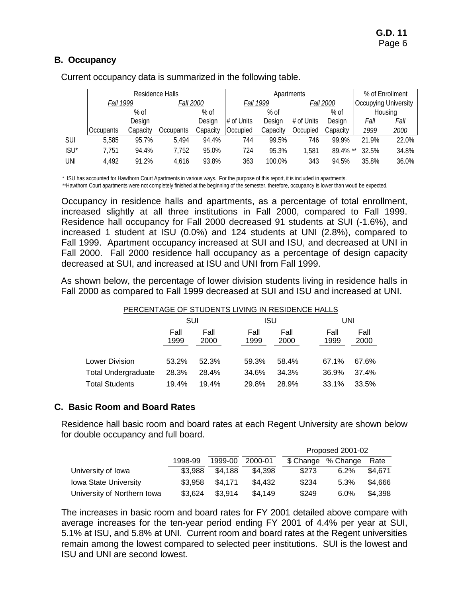# **B. Occupancy**

|                  | Residence Halls                      |          |                  |          |            | Apartments       |                             |             | % of Enrollment |         |
|------------------|--------------------------------------|----------|------------------|----------|------------|------------------|-----------------------------|-------------|-----------------|---------|
|                  | <b>Fall 1999</b><br><i>Fall 2000</i> |          | <b>Fall 1999</b> |          |            | <b>Fall 2000</b> | <b>Occupying University</b> |             |                 |         |
|                  |                                      | $%$ of   |                  | % of     |            | $%$ of           |                             | $%$ of      |                 | Housing |
|                  |                                      | Design   |                  | Design   | # of Units | Design           | # of Units                  | Design      | Fall            | Fall    |
|                  | <b>Occupants</b>                     | Capacity | <b>Occupants</b> | Capacity | Occupied   | Capacity         | Occupied                    | Capacity    | 1999            | 2000    |
| <b>SUI</b>       | 5,585                                | 95.7%    | 5.494            | 94.4%    | 744        | 99.5%            | 746                         | 99.9%       | 21.9%           | 22.0%   |
| ISU <sup>*</sup> | 7,751                                | 94.4%    | 7,752            | 95.0%    | 724        | 95.3%            | 1.581                       | $89.4\%$ ** | 32.5%           | 34.8%   |
| UNI              | 4,492                                | 91.2%    | 4.616            | 93.8%    | 363        | 100.0%           | 343                         | 94.5%       | 35.8%           | 36.0%   |

Current occupancy data is summarized in the following table.

\* ISU has accounted for Hawthorn Court Apartments in various ways. For the purpose of this report, it is included in apartments.

\*\*Hawthorn Court apartments were not completely finished at the beginning of the semester, therefore, occupancy is lower than would be expected.

Occupancy in residence halls and apartments, as a percentage of total enrollment, increased slightly at all three institutions in Fall 2000, compared to Fall 1999. Residence hall occupancy for Fall 2000 decreased 91 students at SUI (-1.6%), and increased 1 student at ISU (0.0%) and 124 students at UNI (2.8%), compared to Fall 1999. Apartment occupancy increased at SUI and ISU, and decreased at UNI in Fall 2000. Fall 2000 residence hall occupancy as a percentage of design capacity decreased at SUI, and increased at ISU and UNI from Fall 1999.

As shown below, the percentage of lower division students living in residence halls in Fall 2000 as compared to Fall 1999 decreased at SUI and ISU and increased at UNI.

## PERCENTAGE OF STUDENTS LIVING IN RESIDENCE HALLS.

|                       | SUI          |              | <b>ISU</b>   |              |              | UNI          |  |  |
|-----------------------|--------------|--------------|--------------|--------------|--------------|--------------|--|--|
|                       | Fall<br>1999 | Fall<br>2000 | Fall<br>1999 | Fall<br>2000 | Fall<br>1999 | Fall<br>2000 |  |  |
| Lower Division        | 53.2%        | 52.3%        | 59.3%        | 58.4%        | 67.1%        | 67.6%        |  |  |
| Total Undergraduate   | 28.3%        | 28.4%        | 34.6%        | 34.3%        | 36.9%        | 37.4%        |  |  |
| <b>Total Students</b> | 19.4%        | 19.4%        | 29.8%        | 28.9%        | 33.1%        | 33.5%        |  |  |

# **C. Basic Room and Board Rates**

Residence hall basic room and board rates at each Regent University are shown below for double occupancy and full board.

|                              |         |         |         | Proposed 2001-02 |                    |         |
|------------------------------|---------|---------|---------|------------------|--------------------|---------|
|                              | 1998-99 | 1999-00 | 2000-01 |                  | \$ Change % Change | Rate    |
| University of Iowa           | \$3.988 | \$4.188 | \$4,398 | \$273            | 6.2%               | \$4.671 |
| <b>Iowa State University</b> | \$3.958 | \$4.171 | \$4.432 | \$234            | 5.3%               | \$4.666 |
| University of Northern Iowa  | \$3,624 | \$3,914 | \$4.149 | \$249            | 6.0%               | \$4.398 |

The increases in basic room and board rates for FY 2001 detailed above compare with average increases for the ten-year period ending FY 2001 of 4.4% per year at SUI, 5.1% at ISU, and 5.8% at UNI. Current room and board rates at the Regent universities remain among the lowest compared to selected peer institutions. SUI is the lowest and ISU and UNI are second lowest.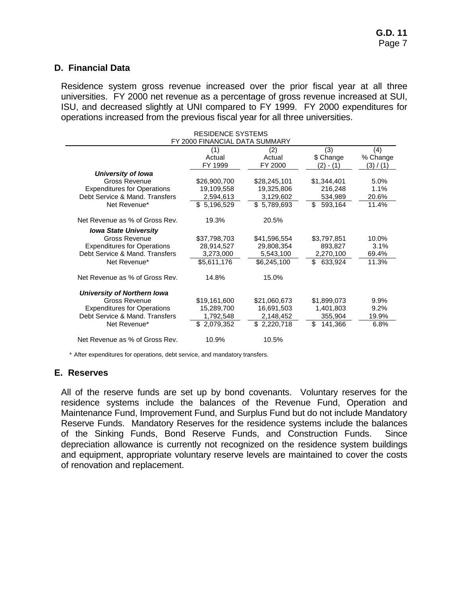## **D. Financial Data**

Residence system gross revenue increased over the prior fiscal year at all three universities. FY 2000 net revenue as a percentage of gross revenue increased at SUI, ISU, and decreased slightly at UNI compared to FY 1999. FY 2000 expenditures for operations increased from the previous fiscal year for all three universities.

|                                    | <b>RESIDENCE SYSTEMS</b>       |              |               |                 |  |  |  |
|------------------------------------|--------------------------------|--------------|---------------|-----------------|--|--|--|
|                                    | FY 2000 FINANCIAL DATA SUMMARY |              |               |                 |  |  |  |
|                                    | (1)<br>(3)<br>(2)              |              |               |                 |  |  |  |
|                                    | Actual                         | Actual       | \$ Change     | (4)<br>% Change |  |  |  |
|                                    | FY 1999                        | FY 2000      | (2) - (1)     | (3) / (1)       |  |  |  |
| University of Iowa                 |                                |              |               |                 |  |  |  |
| Gross Revenue                      | \$26,900,700                   | \$28,245,101 | \$1,344,401   | 5.0%            |  |  |  |
| <b>Expenditures for Operations</b> | 19,109,558                     | 19,325,806   | 216,248       | 1.1%            |  |  |  |
| Debt Service & Mand. Transfers     | 2,594,613                      | 3,129,602    | 534,989       | 20.6%           |  |  |  |
| Net Revenue*                       | \$5,196,529                    | \$5,789,693  | \$<br>593,164 | 11.4%           |  |  |  |
| Net Revenue as % of Gross Rev.     | 19.3%                          | 20.5%        |               |                 |  |  |  |
| <b>Iowa State University</b>       |                                |              |               |                 |  |  |  |
| Gross Revenue                      | \$37,798,703                   | \$41,596,554 | \$3,797,851   | 10.0%           |  |  |  |
| <b>Expenditures for Operations</b> | 28,914,527                     | 29,808,354   | 893,827       | 3.1%            |  |  |  |
| Debt Service & Mand. Transfers     | 3,273,000                      | 5,543,100    | 2,270,100     | 69.4%           |  |  |  |
| Net Revenue*                       | \$5,611,176                    | \$6,245,100  | \$ 633,924    | 11.3%           |  |  |  |
| Net Revenue as % of Gross Rev.     | 14.8%                          | 15.0%        |               |                 |  |  |  |
| <b>University of Northern Iowa</b> |                                |              |               |                 |  |  |  |
| Gross Revenue                      | \$19,161,600                   | \$21,060,673 | \$1,899,073   | 9.9%            |  |  |  |
| <b>Expenditures for Operations</b> | 15,289,700                     | 16,691,503   | 1,401,803     | 9.2%            |  |  |  |
| Debt Service & Mand. Transfers     | 1,792,548                      | 2,148,452    | 355,904       | 19.9%           |  |  |  |
| Net Revenue*                       | \$2,079,352                    | \$2,220,718  | \$<br>141,366 | 6.8%            |  |  |  |
| Net Revenue as % of Gross Rev.     | 10.9%                          | 10.5%        |               |                 |  |  |  |

\* After expenditures for operations, debt service, and mandatory transfers.

## **E. Reserves**

All of the reserve funds are set up by bond covenants. Voluntary reserves for the residence systems include the balances of the Revenue Fund, Operation and Maintenance Fund, Improvement Fund, and Surplus Fund but do not include Mandatory Reserve Funds. Mandatory Reserves for the residence systems include the balances of the Sinking Funds, Bond Reserve Funds, and Construction Funds. Since depreciation allowance is currently not recognized on the residence system buildings and equipment, appropriate voluntary reserve levels are maintained to cover the costs of renovation and replacement.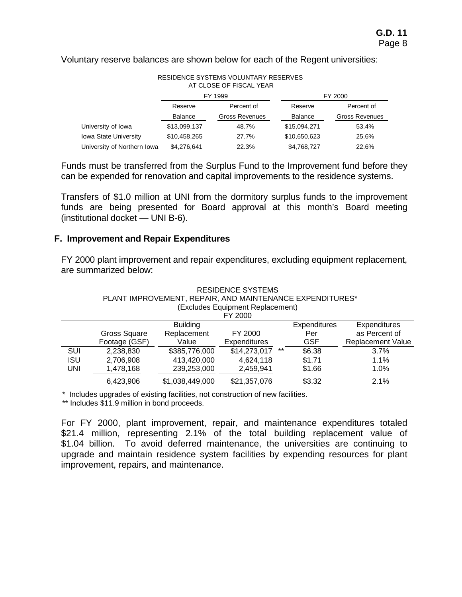Voluntary reserve balances are shown below for each of the Regent universities:

| RESIDENCE STSTEMS VOLUNTART RESERVES<br>AT CLOSE OF FISCAL YEAR |                |                       |                |                       |  |  |  |  |
|-----------------------------------------------------------------|----------------|-----------------------|----------------|-----------------------|--|--|--|--|
|                                                                 |                | FY 1999               |                | FY 2000               |  |  |  |  |
|                                                                 | Reserve        | Percent of            | Reserve        | Percent of            |  |  |  |  |
|                                                                 | <b>Balance</b> | <b>Gross Revenues</b> | <b>Balance</b> | <b>Gross Revenues</b> |  |  |  |  |
| University of Iowa                                              | \$13,099,137   | 48.7%                 | \$15,094,271   | 53.4%                 |  |  |  |  |
| <b>Iowa State University</b>                                    | \$10,458,265   | 27.7%                 | \$10,650,623   | 25.6%                 |  |  |  |  |
| University of Northern Iowa                                     | \$4,276,641    | 22.3%                 | \$4,768,727    | 22.6%                 |  |  |  |  |

RESIDENCE SYSTEMS VOLUNTARY RESERVES

Funds must be transferred from the Surplus Fund to the Improvement fund before they can be expended for renovation and capital improvements to the residence systems.

Transfers of \$1.0 million at UNI from the dormitory surplus funds to the improvement funds are being presented for Board approval at this month's Board meeting (institutional docket — UNI B-6).

# **F. Improvement and Repair Expenditures**

FY 2000 plant improvement and repair expenditures, excluding equipment replacement, are summarized below:

|            | <b>RESIDENCE SYSTEMS</b>                                 |                 |                                  |       |                     |                          |  |  |  |
|------------|----------------------------------------------------------|-----------------|----------------------------------|-------|---------------------|--------------------------|--|--|--|
|            | PLANT IMPROVEMENT, REPAIR, AND MAINTENANCE EXPENDITURES* |                 |                                  |       |                     |                          |  |  |  |
|            |                                                          |                 | (Excludes Equipment Replacement) |       |                     |                          |  |  |  |
|            |                                                          |                 | FY 2000                          |       |                     |                          |  |  |  |
|            |                                                          | <b>Building</b> |                                  |       | <b>Expenditures</b> | <b>Expenditures</b>      |  |  |  |
|            | Gross Square                                             | Replacement     | FY 2000                          |       | Per                 | as Percent of            |  |  |  |
|            | Footage (GSF)                                            | Value           | Expenditures                     |       | <b>GSF</b>          | <b>Replacement Value</b> |  |  |  |
| SUI        | 2,238,830                                                | \$385,776,000   | \$14,273,017                     | $***$ | \$6.38              | $3.7\%$                  |  |  |  |
| <b>ISU</b> | 2,706,908                                                | 413,420,000     | 4,624,118                        |       | \$1.71              | 1.1%                     |  |  |  |
| <b>UNI</b> | 1,478,168                                                | 239,253,000     | 2,459,941                        |       | \$1.66              | 1.0%                     |  |  |  |
|            | 6,423,906                                                | \$1,038,449,000 | \$21,357,076                     |       | \$3.32              | 2.1%                     |  |  |  |

\* Includes upgrades of existing facilities, not construction of new facilities.

\*\* Includes \$11.9 million in bond proceeds.

For FY 2000, plant improvement, repair, and maintenance expenditures totaled \$21.4 million, representing 2.1% of the total building replacement value of \$1.04 billion. To avoid deferred maintenance, the universities are continuing to upgrade and maintain residence system facilities by expending resources for plant improvement, repairs, and maintenance.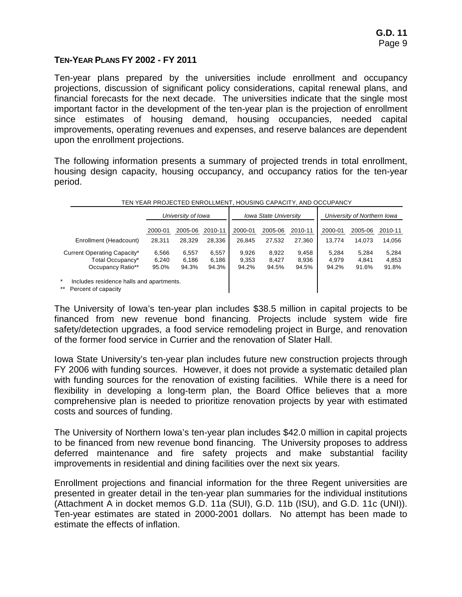## **TEN-YEAR PLANS FY 2002 - FY 2011**

Ten-year plans prepared by the universities include enrollment and occupancy projections, discussion of significant policy considerations, capital renewal plans, and financial forecasts for the next decade. The universities indicate that the single most important factor in the development of the ten-year plan is the projection of enrollment since estimates of housing demand, housing occupancies, needed capital improvements, operating revenues and expenses, and reserve balances are dependent upon the enrollment projections.

The following information presents a summary of projected trends in total enrollment, housing design capacity, housing occupancy, and occupancy ratios for the ten-year period.

| TEN YEAR PROJECTED ENROLLMENT, HOUSING CAPACITY, AND OCCUPANCY           |                    |         |         |         |                              |         |                             |         |         |
|--------------------------------------------------------------------------|--------------------|---------|---------|---------|------------------------------|---------|-----------------------------|---------|---------|
|                                                                          | University of Iowa |         |         |         | <b>Iowa State University</b> |         | University of Northern Iowa |         |         |
|                                                                          | 2000-01            | 2005-06 | 2010-11 | 2000-01 | 2005-06                      | 2010-11 | 2000-01                     | 2005-06 | 2010-11 |
| Enrollment (Headcount)                                                   | 28,311             | 28.329  | 28.336  | 26.845  | 27.532                       | 27.360  | 13.774                      | 14,073  | 14,056  |
| Current Operating Capacity*                                              | 6,566              | 6,557   | 6,557   | 9,926   | 8,922                        | 9,458   | 5.284                       | 5.284   | 5,284   |
| Total Occupancy*                                                         | 6,240              | 6,186   | 6,186   | 9.353   | 8.427                        | 8,936   | 4.979                       | 4.841   | 4,853   |
| Occupancy Ratio**                                                        | 95.0%              | 94.3%   | 94.3%   | 94.2%   | 94.5%                        | 94.5%   | 94.2%                       | 91.6%   | 91.8%   |
| Includes residence halls and apartments.<br>$***$<br>Percent of capacity |                    |         |         |         |                              |         |                             |         |         |

The University of Iowa's ten-year plan includes \$38.5 million in capital projects to be financed from new revenue bond financing. Projects include system wide fire safety/detection upgrades, a food service remodeling project in Burge, and renovation of the former food service in Currier and the renovation of Slater Hall.

Iowa State University's ten-year plan includes future new construction projects through FY 2006 with funding sources. However, it does not provide a systematic detailed plan with funding sources for the renovation of existing facilities. While there is a need for flexibility in developing a long-term plan, the Board Office believes that a more comprehensive plan is needed to prioritize renovation projects by year with estimated costs and sources of funding.

The University of Northern Iowa's ten-year plan includes \$42.0 million in capital projects to be financed from new revenue bond financing. The University proposes to address deferred maintenance and fire safety projects and make substantial facility improvements in residential and dining facilities over the next six years.

Enrollment projections and financial information for the three Regent universities are presented in greater detail in the ten-year plan summaries for the individual institutions (Attachment A in docket memos G.D. 11a (SUI), G.D. 11b (ISU), and G.D. 11c (UNI)). Ten-year estimates are stated in 2000-2001 dollars. No attempt has been made to estimate the effects of inflation.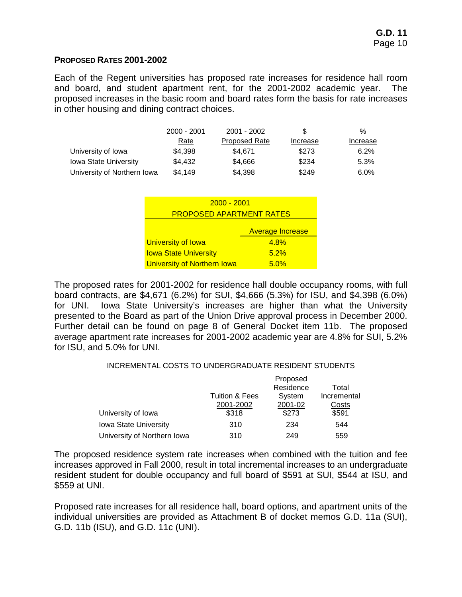### **PROPOSED RATES 2001-2002**

Each of the Regent universities has proposed rate increases for residence hall room and board, and student apartment rent, for the 2001-2002 academic year. The proposed increases in the basic room and board rates form the basis for rate increases in other housing and dining contract choices.

|                              | 2000 - 2001 | 2001 - 2002   | S        | $\%$     |
|------------------------------|-------------|---------------|----------|----------|
|                              | Rate        | Proposed Rate | Increase | Increase |
| University of Iowa           | \$4.398     | \$4.671       | \$273    | 6.2%     |
| <b>Iowa State University</b> | \$4.432     | \$4.666       | \$234    | 5.3%     |
| University of Northern Iowa  | \$4,149     | \$4,398       | \$249    | 6.0%     |

| $2000 - 2001$                      |      |  |  |  |  |  |
|------------------------------------|------|--|--|--|--|--|
| <b>PROPOSED APARTMENT RATES</b>    |      |  |  |  |  |  |
| <b>Average Increase</b>            |      |  |  |  |  |  |
| University of Iowa                 | 4.8% |  |  |  |  |  |
| <b>Iowa State University</b>       | 5.2% |  |  |  |  |  |
| <b>University of Northern Iowa</b> | 5.0% |  |  |  |  |  |

The proposed rates for 2001-2002 for residence hall double occupancy rooms, with full board contracts, are \$4,671 (6.2%) for SUI, \$4,666 (5.3%) for ISU, and \$4,398 (6.0%) for UNI. Iowa State University's increases are higher than what the University presented to the Board as part of the Union Drive approval process in December 2000. Further detail can be found on page 8 of General Docket item 11b. The proposed average apartment rate increases for 2001-2002 academic year are 4.8% for SUI, 5.2% for ISU, and 5.0% for UNI.

#### INCREMENTAL COSTS TO UNDERGRADUATE RESIDENT STUDENTS

|                              |                | Proposed  |             |
|------------------------------|----------------|-----------|-------------|
|                              |                | Residence | Total       |
|                              | Tuition & Fees | System    | Incremental |
|                              | 2001-2002      | 2001-02   | Costs       |
| University of Iowa           | \$318          | \$273     | \$591       |
| <b>Iowa State University</b> | 310            | 234       | 544         |
| University of Northern Iowa  | 310            | 249       | 559         |

The proposed residence system rate increases when combined with the tuition and fee increases approved in Fall 2000, result in total incremental increases to an undergraduate resident student for double occupancy and full board of \$591 at SUI, \$544 at ISU, and \$559 at UNI.

Proposed rate increases for all residence hall, board options, and apartment units of the individual universities are provided as Attachment B of docket memos G.D. 11a (SUI), G.D. 11b (ISU), and G.D. 11c (UNI).